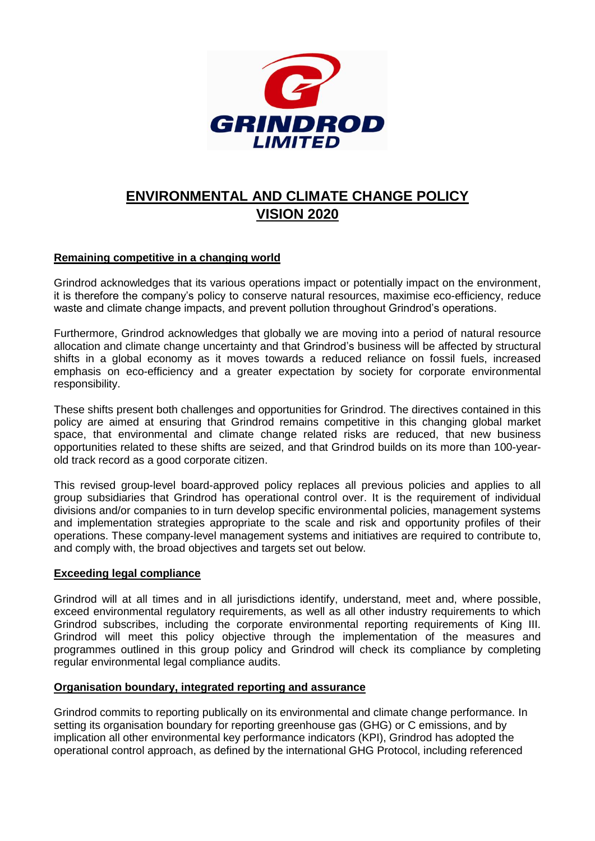

# **ENVIRONMENTAL AND CLIMATE CHANGE POLICY VISION 2020**

## **Remaining competitive in a changing world**

Grindrod acknowledges that its various operations impact or potentially impact on the environment, it is therefore the company's policy to conserve natural resources, maximise eco-efficiency, reduce waste and climate change impacts, and prevent pollution throughout Grindrod's operations.

Furthermore, Grindrod acknowledges that globally we are moving into a period of natural resource allocation and climate change uncertainty and that Grindrod's business will be affected by structural shifts in a global economy as it moves towards a reduced reliance on fossil fuels, increased emphasis on eco-efficiency and a greater expectation by society for corporate environmental responsibility.

These shifts present both challenges and opportunities for Grindrod. The directives contained in this policy are aimed at ensuring that Grindrod remains competitive in this changing global market space, that environmental and climate change related risks are reduced, that new business opportunities related to these shifts are seized, and that Grindrod builds on its more than 100-yearold track record as a good corporate citizen.

This revised group-level board-approved policy replaces all previous policies and applies to all group subsidiaries that Grindrod has operational control over. It is the requirement of individual divisions and/or companies to in turn develop specific environmental policies, management systems and implementation strategies appropriate to the scale and risk and opportunity profiles of their operations. These company-level management systems and initiatives are required to contribute to, and comply with, the broad objectives and targets set out below.

### **Exceeding legal compliance**

Grindrod will at all times and in all jurisdictions identify, understand, meet and, where possible, exceed environmental regulatory requirements, as well as all other industry requirements to which Grindrod subscribes, including the corporate environmental reporting requirements of King III. Grindrod will meet this policy objective through the implementation of the measures and programmes outlined in this group policy and Grindrod will check its compliance by completing regular environmental legal compliance audits.

### **Organisation boundary, integrated reporting and assurance**

Grindrod commits to reporting publically on its environmental and climate change performance. In setting its organisation boundary for reporting greenhouse gas (GHG) or C emissions, and by implication all other environmental key performance indicators (KPI), Grindrod has adopted the operational control approach, as defined by the international GHG Protocol, including referenced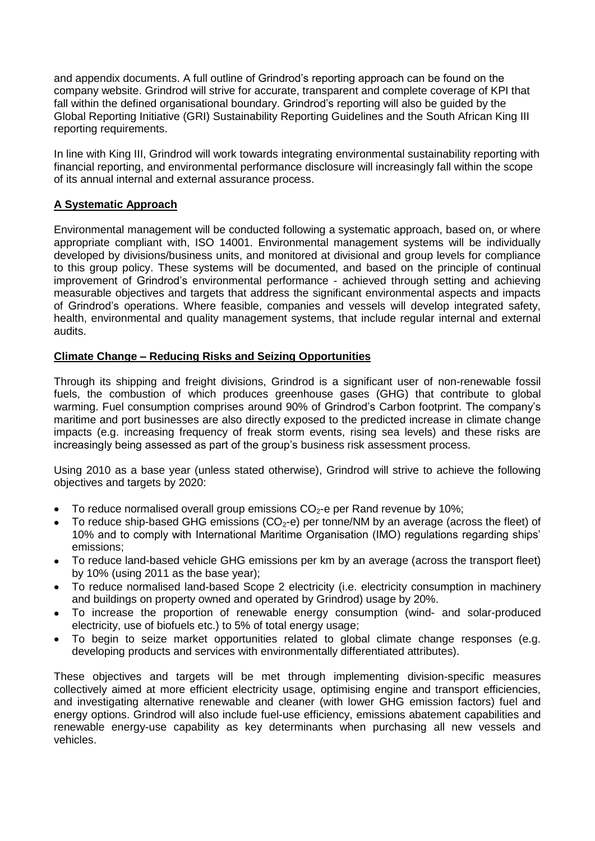and appendix documents. A full outline of Grindrod's reporting approach can be found on the company website. Grindrod will strive for accurate, transparent and complete coverage of KPI that fall within the defined organisational boundary. Grindrod's reporting will also be guided by the Global Reporting Initiative (GRI) Sustainability Reporting Guidelines and the South African King III reporting requirements.

In line with King III, Grindrod will work towards integrating environmental sustainability reporting with financial reporting, and environmental performance disclosure will increasingly fall within the scope of its annual internal and external assurance process.

## **A Systematic Approach**

Environmental management will be conducted following a systematic approach, based on, or where appropriate compliant with, ISO 14001. Environmental management systems will be individually developed by divisions/business units, and monitored at divisional and group levels for compliance to this group policy. These systems will be documented, and based on the principle of continual improvement of Grindrod's environmental performance - achieved through setting and achieving measurable objectives and targets that address the significant environmental aspects and impacts of Grindrod's operations. Where feasible, companies and vessels will develop integrated safety, health, environmental and quality management systems, that include regular internal and external audits.

## **Climate Change – Reducing Risks and Seizing Opportunities**

Through its shipping and freight divisions, Grindrod is a significant user of non-renewable fossil fuels, the combustion of which produces greenhouse gases (GHG) that contribute to global warming. Fuel consumption comprises around 90% of Grindrod's Carbon footprint. The company's maritime and port businesses are also directly exposed to the predicted increase in climate change impacts (e.g. increasing frequency of freak storm events, rising sea levels) and these risks are increasingly being assessed as part of the group's business risk assessment process.

Using 2010 as a base year (unless stated otherwise), Grindrod will strive to achieve the following objectives and targets by 2020:

- $\bullet$  To reduce normalised overall group emissions CO<sub>2</sub>-e per Rand revenue by 10%;
- To reduce ship-based GHG emissions ( $CO<sub>2</sub>$ -e) per tonne/NM by an average (across the fleet) of  $\bullet$ 10% and to comply with International Maritime Organisation (IMO) regulations regarding ships' emissions;
- To reduce land-based vehicle GHG emissions per km by an average (across the transport fleet) by 10% (using 2011 as the base year);
- To reduce normalised land-based Scope 2 electricity (i.e. electricity consumption in machinery and buildings on property owned and operated by Grindrod) usage by 20%.
- To increase the proportion of renewable energy consumption (wind- and solar-produced electricity, use of biofuels etc.) to 5% of total energy usage;
- To begin to seize market opportunities related to global climate change responses (e.g. developing products and services with environmentally differentiated attributes).

These objectives and targets will be met through implementing division-specific measures collectively aimed at more efficient electricity usage, optimising engine and transport efficiencies, and investigating alternative renewable and cleaner (with lower GHG emission factors) fuel and energy options. Grindrod will also include fuel-use efficiency, emissions abatement capabilities and renewable energy-use capability as key determinants when purchasing all new vessels and vehicles.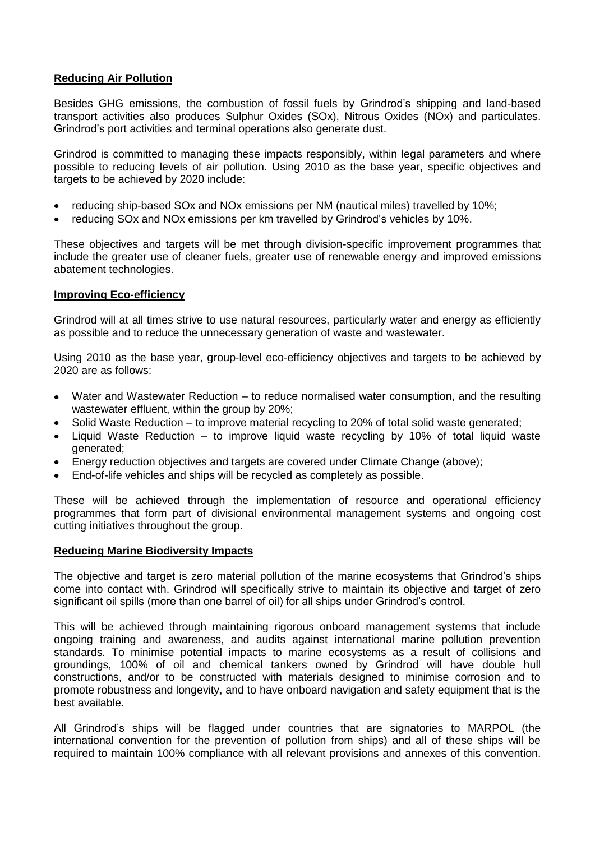## **Reducing Air Pollution**

Besides GHG emissions, the combustion of fossil fuels by Grindrod's shipping and land-based transport activities also produces Sulphur Oxides (SOx), Nitrous Oxides (NOx) and particulates. Grindrod's port activities and terminal operations also generate dust.

Grindrod is committed to managing these impacts responsibly, within legal parameters and where possible to reducing levels of air pollution. Using 2010 as the base year, specific objectives and targets to be achieved by 2020 include:

- reducing ship-based SOx and NOx emissions per NM (nautical miles) travelled by 10%;
- reducing SOx and NOx emissions per km travelled by Grindrod's vehicles by 10%.

These objectives and targets will be met through division-specific improvement programmes that include the greater use of cleaner fuels, greater use of renewable energy and improved emissions abatement technologies.

### **Improving Eco-efficiency**

Grindrod will at all times strive to use natural resources, particularly water and energy as efficiently as possible and to reduce the unnecessary generation of waste and wastewater.

Using 2010 as the base year, group-level eco-efficiency objectives and targets to be achieved by 2020 are as follows:

- Water and Wastewater Reduction to reduce normalised water consumption, and the resulting wastewater effluent, within the group by 20%;
- Solid Waste Reduction to improve material recycling to 20% of total solid waste generated;
- Liquid Waste Reduction to improve liquid waste recycling by 10% of total liquid waste generated;
- Energy reduction objectives and targets are covered under Climate Change (above);
- End-of-life vehicles and ships will be recycled as completely as possible.

These will be achieved through the implementation of resource and operational efficiency programmes that form part of divisional environmental management systems and ongoing cost cutting initiatives throughout the group.

### **Reducing Marine Biodiversity Impacts**

The objective and target is zero material pollution of the marine ecosystems that Grindrod's ships come into contact with. Grindrod will specifically strive to maintain its objective and target of zero significant oil spills (more than one barrel of oil) for all ships under Grindrod's control.

This will be achieved through maintaining rigorous onboard management systems that include ongoing training and awareness, and audits against international marine pollution prevention standards. To minimise potential impacts to marine ecosystems as a result of collisions and groundings, 100% of oil and chemical tankers owned by Grindrod will have double hull constructions, and/or to be constructed with materials designed to minimise corrosion and to promote robustness and longevity, and to have onboard navigation and safety equipment that is the best available.

All Grindrod's ships will be flagged under countries that are signatories to MARPOL (the international convention for the prevention of pollution from ships) and all of these ships will be required to maintain 100% compliance with all relevant provisions and annexes of this convention.